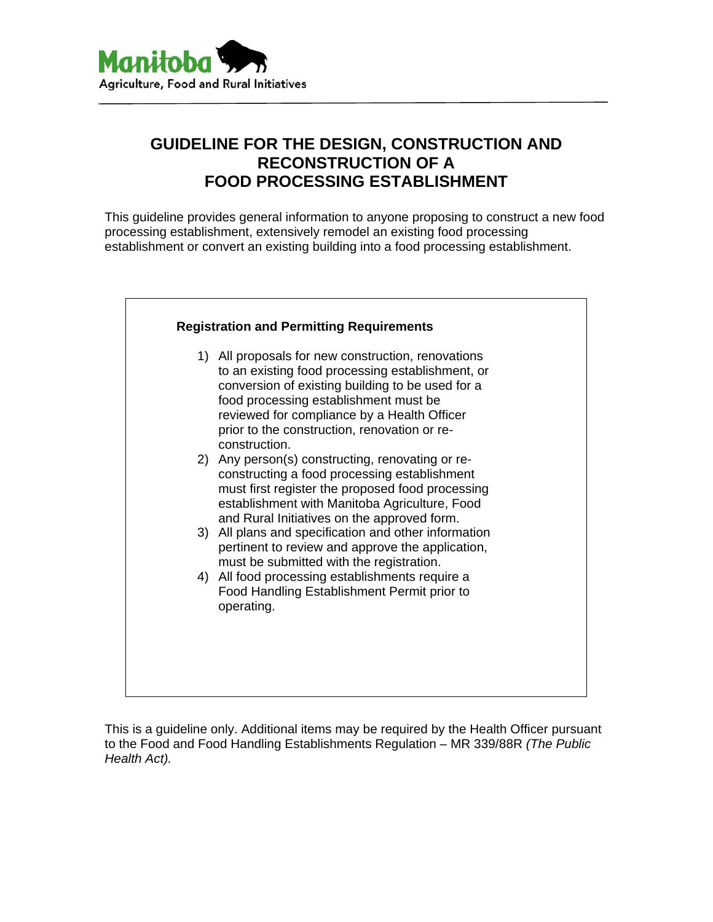

# **GUIDELINE FOR THE DESIGN, CONSTRUCTION AND RECONSTRUCTION OF A FOOD PROCESSING ESTABLISHMENT**

This guideline provides general information to anyone proposing to construct a new food processing establishment, extensively remodel an existing food processing establishment or convert an existing building into a food processing establishment.



This is a guideline only. Additional items may be required by the Health Officer pursuant to the Food and Food Handling Establishments Regulation – MR 339/88R *(The Public Health Act).*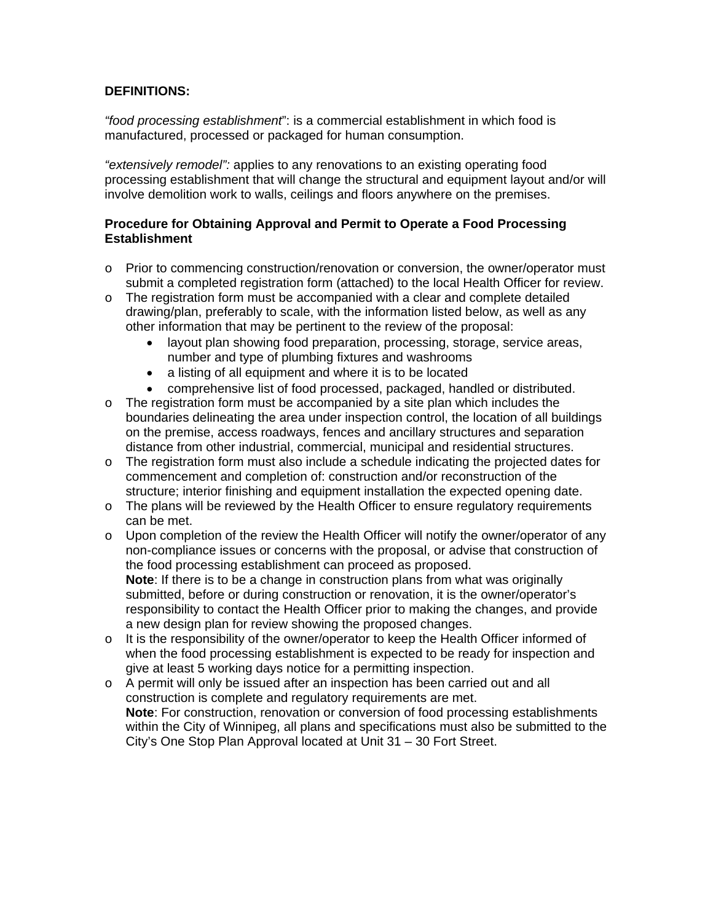## **DEFINITIONS:**

*"food processing establishment*": is a commercial establishment in which food is manufactured, processed or packaged for human consumption.

*"extensively remodel":* applies to any renovations to an existing operating food processing establishment that will change the structural and equipment layout and/or will involve demolition work to walls, ceilings and floors anywhere on the premises.

#### **Procedure for Obtaining Approval and Permit to Operate a Food Processing Establishment**

- o Prior to commencing construction/renovation or conversion, the owner/operator must submit a completed registration form (attached) to the local Health Officer for review.
- $\circ$  The registration form must be accompanied with a clear and complete detailed drawing/plan, preferably to scale, with the information listed below, as well as any other information that may be pertinent to the review of the proposal:
	- layout plan showing food preparation, processing, storage, service areas, number and type of plumbing fixtures and washrooms
	- a listing of all equipment and where it is to be located
	- comprehensive list of food processed, packaged, handled or distributed.
- $\circ$  The registration form must be accompanied by a site plan which includes the boundaries delineating the area under inspection control, the location of all buildings on the premise, access roadways, fences and ancillary structures and separation distance from other industrial, commercial, municipal and residential structures.
- $\circ$  The registration form must also include a schedule indicating the projected dates for commencement and completion of: construction and/or reconstruction of the structure; interior finishing and equipment installation the expected opening date.
- o The plans will be reviewed by the Health Officer to ensure regulatory requirements can be met.
- $\circ$  Upon completion of the review the Health Officer will notify the owner/operator of any non-compliance issues or concerns with the proposal, or advise that construction of the food processing establishment can proceed as proposed. **Note**: If there is to be a change in construction plans from what was originally submitted, before or during construction or renovation, it is the owner/operator's responsibility to contact the Health Officer prior to making the changes, and provide a new design plan for review showing the proposed changes.
- $\circ$  It is the responsibility of the owner/operator to keep the Health Officer informed of when the food processing establishment is expected to be ready for inspection and give at least 5 working days notice for a permitting inspection.
- o A permit will only be issued after an inspection has been carried out and all construction is complete and regulatory requirements are met. **Note**: For construction, renovation or conversion of food processing establishments within the City of Winnipeg, all plans and specifications must also be submitted to the City's One Stop Plan Approval located at Unit 31 – 30 Fort Street.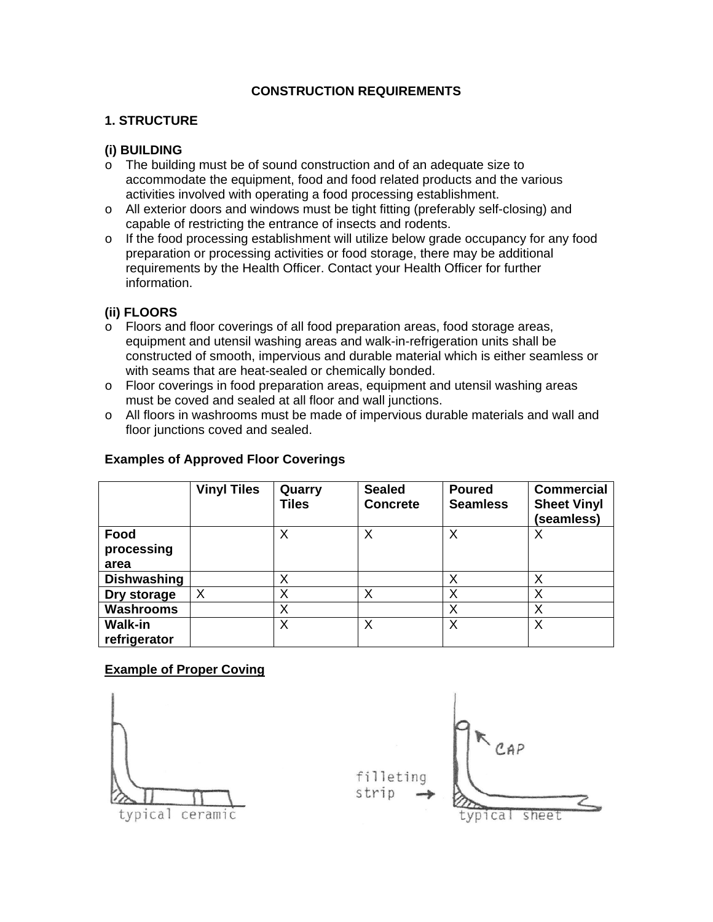# **CONSTRUCTION REQUIREMENTS**

## **1. STRUCTURE**

#### **(i) BUILDING**

- o The building must be of sound construction and of an adequate size to accommodate the equipment, food and food related products and the various activities involved with operating a food processing establishment.
- o All exterior doors and windows must be tight fitting (preferably self-closing) and capable of restricting the entrance of insects and rodents.
- $\circ$  If the food processing establishment will utilize below grade occupancy for any food preparation or processing activities or food storage, there may be additional requirements by the Health Officer. Contact your Health Officer for further information.

## **(ii) FLOORS**

- o Floors and floor coverings of all food preparation areas, food storage areas, equipment and utensil washing areas and walk-in-refrigeration units shall be constructed of smooth, impervious and durable material which is either seamless or with seams that are heat-sealed or chemically bonded.
- o Floor coverings in food preparation areas, equipment and utensil washing areas must be coved and sealed at all floor and wall junctions.
- $\circ$  All floors in washrooms must be made of impervious durable materials and wall and floor junctions coved and sealed.

#### **Examples of Approved Floor Coverings**

|                    | <b>Vinyl Tiles</b> | Quarry<br>Tiles | <b>Sealed</b><br><b>Concrete</b> | <b>Poured</b><br><b>Seamless</b> | <b>Commercial</b><br><b>Sheet Vinyl</b><br>(seamless) |
|--------------------|--------------------|-----------------|----------------------------------|----------------------------------|-------------------------------------------------------|
| Food               |                    | Χ               | Χ                                | Х                                |                                                       |
| processing         |                    |                 |                                  |                                  |                                                       |
| area               |                    |                 |                                  |                                  |                                                       |
| <b>Dishwashing</b> |                    | Χ               |                                  | X                                | Χ                                                     |
| Dry storage        | $\times$           | Χ               | Χ                                | Х                                | Χ                                                     |
| <b>Washrooms</b>   |                    | Χ               |                                  | Х                                | Х                                                     |
| <b>Walk-in</b>     |                    | Χ               | Χ                                | X                                | X                                                     |
| refrigerator       |                    |                 |                                  |                                  |                                                       |

#### **Example of Proper Coving**

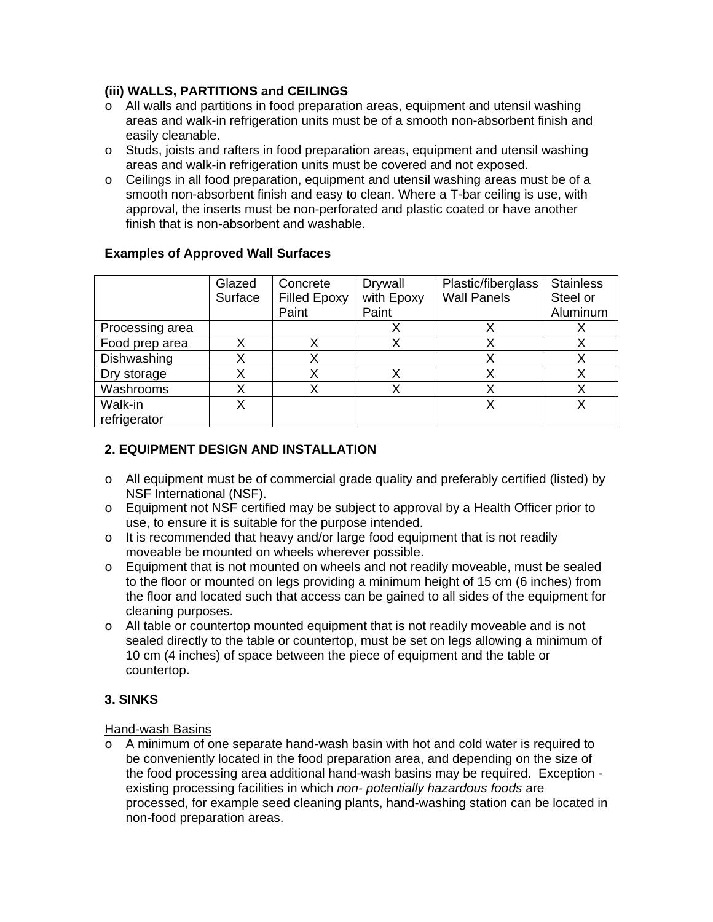## **(iii) WALLS, PARTITIONS and CEILINGS**

- o All walls and partitions in food preparation areas, equipment and utensil washing areas and walk-in refrigeration units must be of a smooth non-absorbent finish and easily cleanable.
- o Studs, joists and rafters in food preparation areas, equipment and utensil washing areas and walk-in refrigeration units must be covered and not exposed.
- o Ceilings in all food preparation, equipment and utensil washing areas must be of a smooth non-absorbent finish and easy to clean. Where a T-bar ceiling is use, with approval, the inserts must be non-perforated and plastic coated or have another finish that is non-absorbent and washable.

|                 | Glazed<br>Surface | Concrete<br><b>Filled Epoxy</b> | <b>Drywall</b><br>with Epoxy | Plastic/fiberglass<br><b>Wall Panels</b> | <b>Stainless</b><br>Steel or |
|-----------------|-------------------|---------------------------------|------------------------------|------------------------------------------|------------------------------|
|                 |                   | Paint                           | Paint                        |                                          | Aluminum                     |
| Processing area |                   |                                 |                              |                                          |                              |
| Food prep area  |                   |                                 |                              |                                          |                              |
| Dishwashing     |                   |                                 |                              |                                          |                              |
| Dry storage     |                   |                                 |                              |                                          |                              |
| Washrooms       |                   |                                 |                              |                                          |                              |
| Walk-in         |                   |                                 |                              |                                          |                              |
| refrigerator    |                   |                                 |                              |                                          |                              |

## **Examples of Approved Wall Surfaces**

## **2. EQUIPMENT DESIGN AND INSTALLATION**

- o All equipment must be of commercial grade quality and preferably certified (listed) by NSF International (NSF).
- o Equipment not NSF certified may be subject to approval by a Health Officer prior to use, to ensure it is suitable for the purpose intended.
- $\circ$  It is recommended that heavy and/or large food equipment that is not readily moveable be mounted on wheels wherever possible.
- o Equipment that is not mounted on wheels and not readily moveable, must be sealed to the floor or mounted on legs providing a minimum height of 15 cm (6 inches) from the floor and located such that access can be gained to all sides of the equipment for cleaning purposes.
- $\circ$  All table or countertop mounted equipment that is not readily moveable and is not sealed directly to the table or countertop, must be set on legs allowing a minimum of 10 cm (4 inches) of space between the piece of equipment and the table or countertop.

# **3. SINKS**

#### Hand-wash Basins

 $\circ$  A minimum of one separate hand-wash basin with hot and cold water is required to be conveniently located in the food preparation area, and depending on the size of the food processing area additional hand-wash basins may be required. Exception existing processing facilities in which *non- potentially hazardous foods* are processed, for example seed cleaning plants, hand-washing station can be located in non-food preparation areas.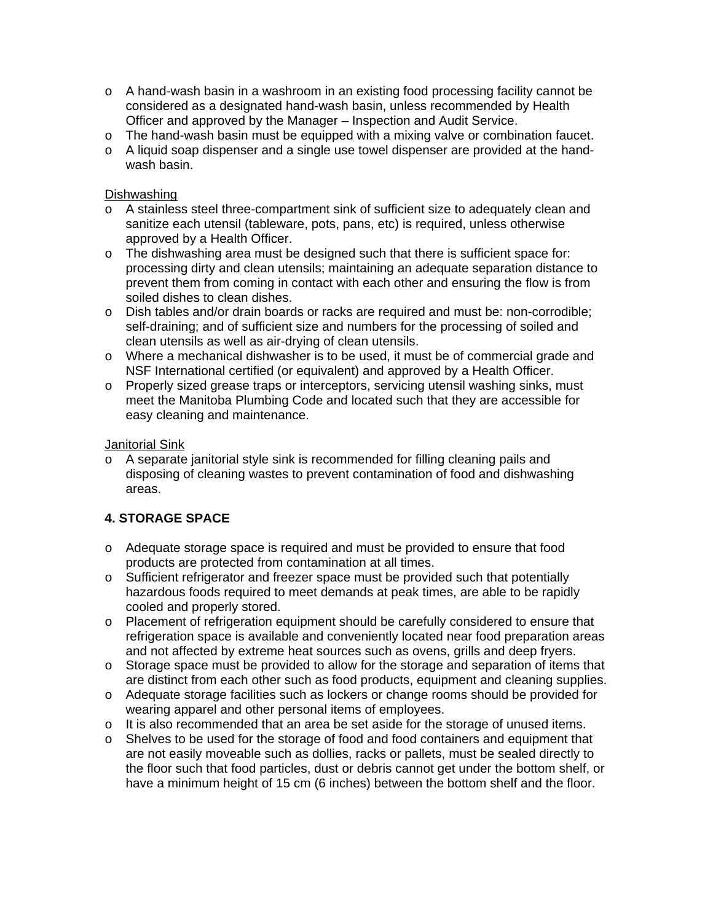- o A hand-wash basin in a washroom in an existing food processing facility cannot be considered as a designated hand-wash basin, unless recommended by Health Officer and approved by the Manager – Inspection and Audit Service.
- o The hand-wash basin must be equipped with a mixing valve or combination faucet.
- $\circ$  A liquid soap dispenser and a single use towel dispenser are provided at the handwash basin.

#### Dishwashing

- o A stainless steel three-compartment sink of sufficient size to adequately clean and sanitize each utensil (tableware, pots, pans, etc) is required, unless otherwise approved by a Health Officer.
- $\circ$  The dishwashing area must be designed such that there is sufficient space for: processing dirty and clean utensils; maintaining an adequate separation distance to prevent them from coming in contact with each other and ensuring the flow is from soiled dishes to clean dishes.
- o Dish tables and/or drain boards or racks are required and must be: non-corrodible; self-draining; and of sufficient size and numbers for the processing of soiled and clean utensils as well as air-drying of clean utensils.
- o Where a mechanical dishwasher is to be used, it must be of commercial grade and NSF International certified (or equivalent) and approved by a Health Officer.
- o Properly sized grease traps or interceptors, servicing utensil washing sinks, must meet the Manitoba Plumbing Code and located such that they are accessible for easy cleaning and maintenance.

#### Janitorial Sink

 $\circ$  A separate janitorial style sink is recommended for filling cleaning pails and disposing of cleaning wastes to prevent contamination of food and dishwashing areas.

# **4. STORAGE SPACE**

- o Adequate storage space is required and must be provided to ensure that food products are protected from contamination at all times.
- o Sufficient refrigerator and freezer space must be provided such that potentially hazardous foods required to meet demands at peak times, are able to be rapidly cooled and properly stored.
- o Placement of refrigeration equipment should be carefully considered to ensure that refrigeration space is available and conveniently located near food preparation areas and not affected by extreme heat sources such as ovens, grills and deep fryers.
- o Storage space must be provided to allow for the storage and separation of items that are distinct from each other such as food products, equipment and cleaning supplies.
- o Adequate storage facilities such as lockers or change rooms should be provided for wearing apparel and other personal items of employees.
- o It is also recommended that an area be set aside for the storage of unused items.
- o Shelves to be used for the storage of food and food containers and equipment that are not easily moveable such as dollies, racks or pallets, must be sealed directly to the floor such that food particles, dust or debris cannot get under the bottom shelf, or have a minimum height of 15 cm (6 inches) between the bottom shelf and the floor.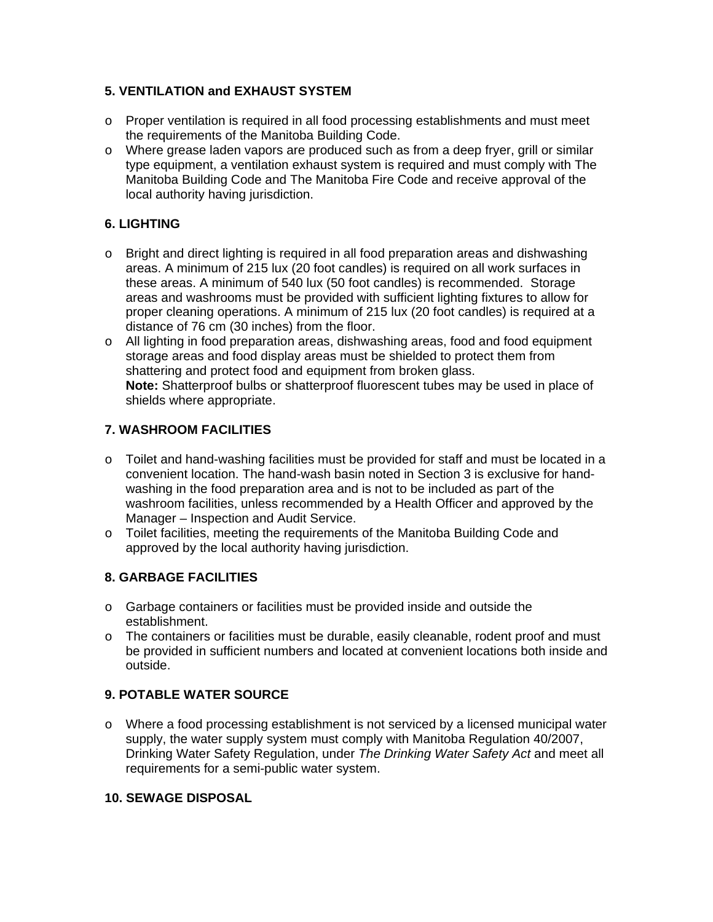# **5. VENTILATION and EXHAUST SYSTEM**

- $\circ$  Proper ventilation is required in all food processing establishments and must meet the requirements of the Manitoba Building Code.
- o Where grease laden vapors are produced such as from a deep fryer, grill or similar type equipment, a ventilation exhaust system is required and must comply with The Manitoba Building Code and The Manitoba Fire Code and receive approval of the local authority having jurisdiction.

# **6. LIGHTING**

- $\circ$  Bright and direct lighting is required in all food preparation areas and dishwashing areas. A minimum of 215 lux (20 foot candles) is required on all work surfaces in these areas. A minimum of 540 lux (50 foot candles) is recommended. Storage areas and washrooms must be provided with sufficient lighting fixtures to allow for proper cleaning operations. A minimum of 215 lux (20 foot candles) is required at a distance of 76 cm (30 inches) from the floor.
- o All lighting in food preparation areas, dishwashing areas, food and food equipment storage areas and food display areas must be shielded to protect them from shattering and protect food and equipment from broken glass. **Note:** Shatterproof bulbs or shatterproof fluorescent tubes may be used in place of shields where appropriate.

# **7. WASHROOM FACILITIES**

- $\circ$  Toilet and hand-washing facilities must be provided for staff and must be located in a convenient location. The hand-wash basin noted in Section 3 is exclusive for handwashing in the food preparation area and is not to be included as part of the washroom facilities, unless recommended by a Health Officer and approved by the Manager – Inspection and Audit Service.
- o Toilet facilities, meeting the requirements of the Manitoba Building Code and approved by the local authority having jurisdiction.

# **8. GARBAGE FACILITIES**

- o Garbage containers or facilities must be provided inside and outside the establishment.
- o The containers or facilities must be durable, easily cleanable, rodent proof and must be provided in sufficient numbers and located at convenient locations both inside and outside.

# **9. POTABLE WATER SOURCE**

o Where a food processing establishment is not serviced by a licensed municipal water supply, the water supply system must comply with Manitoba Regulation 40/2007, Drinking Water Safety Regulation, under *The Drinking Water Safety Act* and meet all requirements for a semi-public water system.

# **10. SEWAGE DISPOSAL**